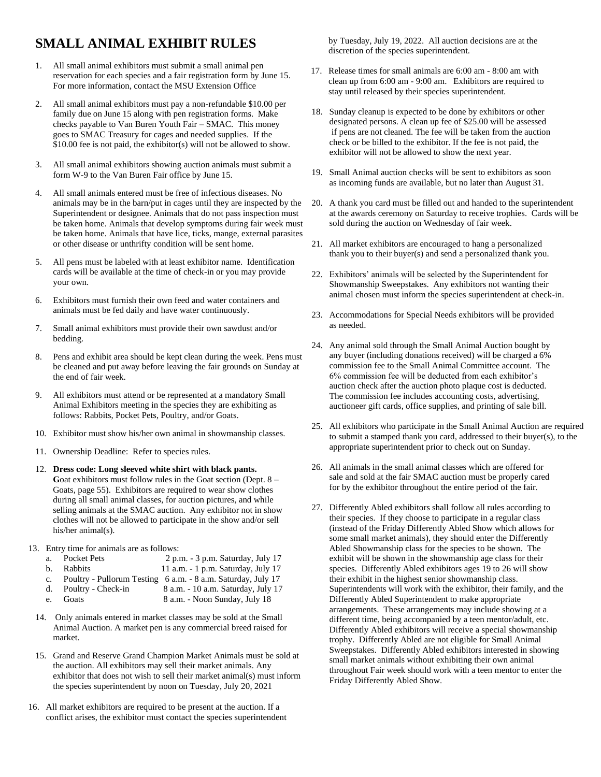## **SMALL ANIMAL EXHIBIT RULES**

- 1. All small animal exhibitors must submit a small animal pen reservation for each species and a fair registration form by June 15. For more information, contact the MSU Extension Office
- 2. All small animal exhibitors must pay a non-refundable \$10.00 per family due on June 15 along with pen registration forms. Make checks payable to Van Buren Youth Fair – SMAC. This money goes to SMAC Treasury for cages and needed supplies. If the \$10.00 fee is not paid, the exhibitor(s) will not be allowed to show.
- 3. All small animal exhibitors showing auction animals must submit a form W-9 to the Van Buren Fair office by June 15.
- 4. All small animals entered must be free of infectious diseases. No animals may be in the barn/put in cages until they are inspected by the Superintendent or designee. Animals that do not pass inspection must be taken home. Animals that develop symptoms during fair week must be taken home. Animals that have lice, ticks, mange, external parasites or other disease or unthrifty condition will be sent home.
- 5. All pens must be labeled with at least exhibitor name. Identification cards will be available at the time of check-in or you may provide your own.
- 6. Exhibitors must furnish their own feed and water containers and animals must be fed daily and have water continuously.
- 7. Small animal exhibitors must provide their own sawdust and/or bedding.
- 8. Pens and exhibit area should be kept clean during the week. Pens must be cleaned and put away before leaving the fair grounds on Sunday at the end of fair week.
- 9. All exhibitors must attend or be represented at a mandatory Small Animal Exhibitors meeting in the species they are exhibiting as follows: Rabbits, Pocket Pets, Poultry, and/or Goats.
- 10. Exhibitor must show his/her own animal in showmanship classes.
- 11. Ownership Deadline: Refer to species rules.
- 12. **Dress code: Long sleeved white shirt with black pants.**  Goat exhibitors must follow rules in the Goat section (Dept. 8 – Goats, page 55). Exhibitors are required to wear show clothes during all small animal classes, for auction pictures, and while selling animals at the SMAC auction. Any exhibitor not in show clothes will not be allowed to participate in the show and/or sell his/her animal(s).
- 13. Entry time for animals are as follows:
	- a. Pocket Pets 2 p.m. 3 p.m. Saturday, July 17<br>b. Rabbits 11 a.m. 1 p.m. Saturday, July 17
	- Rabbits 11 a.m. 1 p.m. Saturday, July 17
	- c. Poultry Pullorum Testing 6 a.m. 8 a.m. Saturday, July 17
	- d. Poultry Check-in 8 a.m. 10 a.m. Saturday, July 17
	- e. Goats 8 a.m. Noon Sunday, July 18
	- 14. Only animals entered in market classes may be sold at the Small Animal Auction. A market pen is any commercial breed raised for market.
	- 15. Grand and Reserve Grand Champion Market Animals must be sold at the auction. All exhibitors may sell their market animals. Any exhibitor that does not wish to sell their market animal(s) must inform the species superintendent by noon on Tuesday, July 20, 2021
- 16. All market exhibitors are required to be present at the auction. If a conflict arises, the exhibitor must contact the species superintendent

by Tuesday, July 19, 2022. All auction decisions are at the discretion of the species superintendent.

- 17. Release times for small animals are 6:00 am 8:00 am with clean up from 6:00 am - 9:00 am. Exhibitors are required to stay until released by their species superintendent.
- 18. Sunday cleanup is expected to be done by exhibitors or other designated persons. A clean up fee of \$25.00 will be assessed if pens are not cleaned. The fee will be taken from the auction check or be billed to the exhibitor. If the fee is not paid, the exhibitor will not be allowed to show the next year.
- 19. Small Animal auction checks will be sent to exhibitors as soon as incoming funds are available, but no later than August 31.
- 20. A thank you card must be filled out and handed to the superintendent at the awards ceremony on Saturday to receive trophies. Cards will be sold during the auction on Wednesday of fair week.
- 21. All market exhibitors are encouraged to hang a personalized thank you to their buyer(s) and send a personalized thank you.
- 22. Exhibitors' animals will be selected by the Superintendent for Showmanship Sweepstakes. Any exhibitors not wanting their animal chosen must inform the species superintendent at check-in.
- 23. Accommodations for Special Needs exhibitors will be provided as needed.
- 24. Any animal sold through the Small Animal Auction bought by any buyer (including donations received) will be charged a 6% commission fee to the Small Animal Committee account. The 6% commission fee will be deducted from each exhibitor's auction check after the auction photo plaque cost is deducted. The commission fee includes accounting costs, advertising, auctioneer gift cards, office supplies, and printing of sale bill.
- 25. All exhibitors who participate in the Small Animal Auction are required to submit a stamped thank you card, addressed to their buyer(s), to the appropriate superintendent prior to check out on Sunday.
- 26. All animals in the small animal classes which are offered for sale and sold at the fair SMAC auction must be properly cared for by the exhibitor throughout the entire period of the fair.
- 27. Differently Abled exhibitors shall follow all rules according to their species. If they choose to participate in a regular class (instead of the Friday Differently Abled Show which allows for some small market animals), they should enter the Differently Abled Showmanship class for the species to be shown. The exhibit will be shown in the showmanship age class for their species. Differently Abled exhibitors ages 19 to 26 will show their exhibit in the highest senior showmanship class. Superintendents will work with the exhibitor, their family, and the Differently Abled Superintendent to make appropriate arrangements. These arrangements may include showing at a different time, being accompanied by a teen mentor/adult, etc. Differently Abled exhibitors will receive a special showmanship trophy. Differently Abled are not eligible for Small Animal Sweepstakes. Differently Abled exhibitors interested in showing small market animals without exhibiting their own animal throughout Fair week should work with a teen mentor to enter the Friday Differently Abled Show.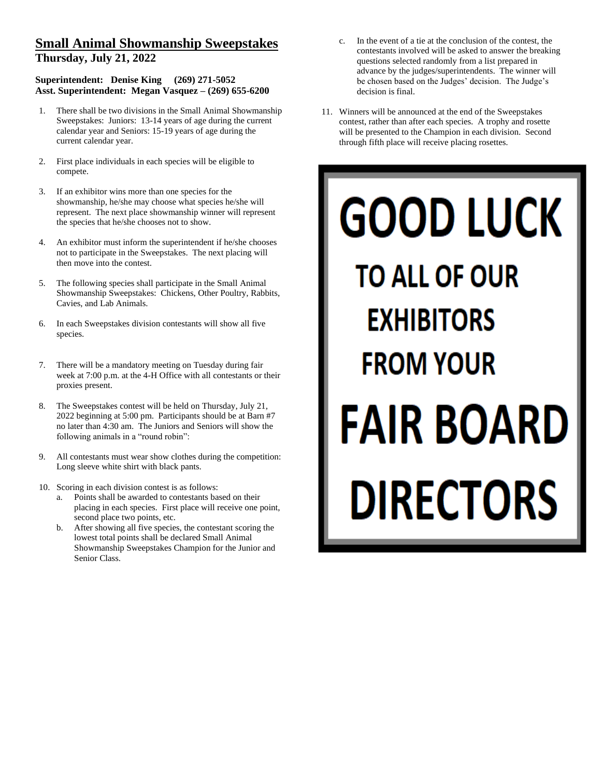## **Small Animal Showmanship Sweepstakes Thursday, July 21, 2022**

## **Superintendent: Denise King (269) 271-5052 Asst. Superintendent: Megan Vasquez – (269) 655-6200**

- 1. There shall be two divisions in the Small Animal Showmanship Sweepstakes: Juniors: 13-14 years of age during the current calendar year and Seniors: 15-19 years of age during the current calendar year.
- 2. First place individuals in each species will be eligible to compete.
- 3. If an exhibitor wins more than one species for the showmanship, he/she may choose what species he/she will represent. The next place showmanship winner will represent the species that he/she chooses not to show.
- 4. An exhibitor must inform the superintendent if he/she chooses not to participate in the Sweepstakes. The next placing will then move into the contest.
- 5. The following species shall participate in the Small Animal Showmanship Sweepstakes: Chickens, Other Poultry, Rabbits, Cavies, and Lab Animals.
- 6. In each Sweepstakes division contestants will show all five species.
- There will be a mandatory meeting on Tuesday during fair week at 7:00 p.m. at the 4-H Office with all contestants or their proxies present.
- 8. The Sweepstakes contest will be held on Thursday, July 21, 2022 beginning at 5:00 pm. Participants should be at Barn #7 no later than 4:30 am. The Juniors and Seniors will show the following animals in a "round robin":
- 9. All contestants must wear show clothes during the competition: Long sleeve white shirt with black pants.
- 10. Scoring in each division contest is as follows:
	- a. Points shall be awarded to contestants based on their placing in each species. First place will receive one point, second place two points, etc.
	- b. After showing all five species, the contestant scoring the lowest total points shall be declared Small Animal Showmanship Sweepstakes Champion for the Junior and Senior Class.
- c. In the event of a tie at the conclusion of the contest, the contestants involved will be asked to answer the breaking questions selected randomly from a list prepared in advance by the judges/superintendents. The winner will be chosen based on the Judges' decision. The Judge's decision is final.
- 11. Winners will be announced at the end of the Sweepstakes contest, rather than after each species. A trophy and rosette will be presented to the Champion in each division. Second through fifth place will receive placing rosettes.